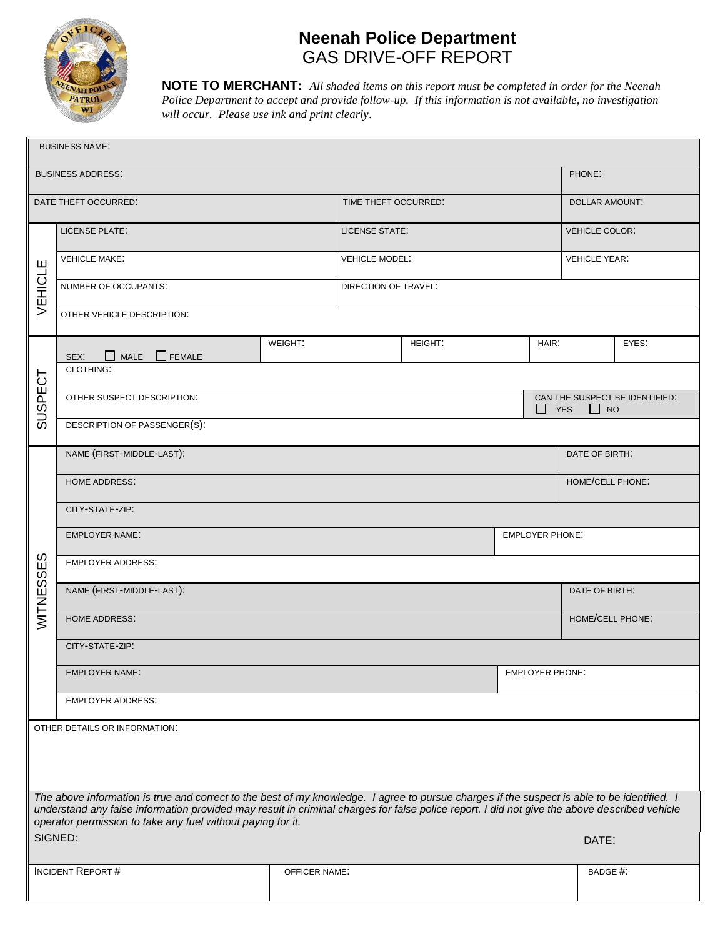

# **Neenah Police Department**  GAS DRIVE-OFF REPORT

**NOTE TO MERCHANT:** *All shaded items on this report must be completed in order for the Neenah Police Department to accept and provide follow-up. If this information is not available, no investigation will occur. Please use ink and print clearly*.

| <b>BUSINESS NAME:</b>                                                                                                                                                                                                                                                                       |                               |         |                       |  |       |                                                           |       |  |
|---------------------------------------------------------------------------------------------------------------------------------------------------------------------------------------------------------------------------------------------------------------------------------------------|-------------------------------|---------|-----------------------|--|-------|-----------------------------------------------------------|-------|--|
| <b>BUSINESS ADDRESS:</b>                                                                                                                                                                                                                                                                    |                               |         |                       |  |       | PHONE:                                                    |       |  |
| DATE THEFT OCCURRED:                                                                                                                                                                                                                                                                        |                               |         | TIME THEFT OCCURRED:  |  |       | <b>DOLLAR AMOUNT:</b>                                     |       |  |
|                                                                                                                                                                                                                                                                                             | LICENSE PLATE:                |         | LICENSE STATE:        |  |       | <b>VEHICLE COLOR:</b>                                     |       |  |
| щ<br><b>VEHICL</b>                                                                                                                                                                                                                                                                          | <b>VEHICLE MAKE:</b>          |         | <b>VEHICLE MODEL:</b> |  |       | <b>VEHICLE YEAR:</b>                                      |       |  |
|                                                                                                                                                                                                                                                                                             | NUMBER OF OCCUPANTS:          |         | DIRECTION OF TRAVEL:  |  |       |                                                           |       |  |
|                                                                                                                                                                                                                                                                                             | OTHER VEHICLE DESCRIPTION:    |         |                       |  |       |                                                           |       |  |
| SUSPECT                                                                                                                                                                                                                                                                                     | <b>MALE</b><br>FEMALE<br>SEX: | WEIGHT: | HEIGHT:               |  | HAIR: |                                                           | EYES: |  |
|                                                                                                                                                                                                                                                                                             | <b>CLOTHING:</b>              |         |                       |  |       |                                                           |       |  |
|                                                                                                                                                                                                                                                                                             | OTHER SUSPECT DESCRIPTION:    |         |                       |  |       | CAN THE SUSPECT BE IDENTIFIED:<br><b>YES</b><br>$\Box$ NO |       |  |
|                                                                                                                                                                                                                                                                                             | DESCRIPTION OF PASSENGER(S):  |         |                       |  |       |                                                           |       |  |
| $\omega$<br>WITNESSE                                                                                                                                                                                                                                                                        | NAME (FIRST-MIDDLE-LAST):     |         |                       |  |       | DATE OF BIRTH:                                            |       |  |
|                                                                                                                                                                                                                                                                                             | <b>HOME ADDRESS:</b>          |         |                       |  |       | HOME/CELL PHONE:                                          |       |  |
|                                                                                                                                                                                                                                                                                             | CITY-STATE-ZIP:               |         |                       |  |       |                                                           |       |  |
|                                                                                                                                                                                                                                                                                             | <b>EMPLOYER NAME:</b>         |         |                       |  |       | EMPLOYER PHONE:                                           |       |  |
|                                                                                                                                                                                                                                                                                             | <b>EMPLOYER ADDRESS:</b>      |         |                       |  |       |                                                           |       |  |
|                                                                                                                                                                                                                                                                                             | NAME (FIRST-MIDDLE-LAST):     |         |                       |  |       | DATE OF BIRTH:                                            |       |  |
|                                                                                                                                                                                                                                                                                             | <b>HOME ADDRESS:</b>          |         |                       |  |       | HOME/CELL PHONE:                                          |       |  |
|                                                                                                                                                                                                                                                                                             | CITY-STATE-ZIP:               |         |                       |  |       |                                                           |       |  |
|                                                                                                                                                                                                                                                                                             | EMPLOYER NAME:                |         |                       |  |       | EMPLOYER PHONE:                                           |       |  |
|                                                                                                                                                                                                                                                                                             | <b>EMPLOYER ADDRESS:</b>      |         |                       |  |       |                                                           |       |  |
| OTHER DETAILS OR INFORMATION:                                                                                                                                                                                                                                                               |                               |         |                       |  |       |                                                           |       |  |
|                                                                                                                                                                                                                                                                                             |                               |         |                       |  |       |                                                           |       |  |
|                                                                                                                                                                                                                                                                                             |                               |         |                       |  |       |                                                           |       |  |
| The above information is true and correct to the best of my knowledge. I agree to pursue charges if the suspect is able to be identified. I<br>understand any false information provided may result in criminal charges for false police report. I did not give the above described vehicle |                               |         |                       |  |       |                                                           |       |  |
| operator permission to take any fuel without paying for it.<br>SIGNED:<br>DATE:                                                                                                                                                                                                             |                               |         |                       |  |       |                                                           |       |  |
|                                                                                                                                                                                                                                                                                             |                               |         |                       |  |       |                                                           |       |  |
|                                                                                                                                                                                                                                                                                             | <b>INCIDENT REPORT#</b>       |         | <b>OFFICER NAME:</b>  |  |       | BADGE #:                                                  |       |  |